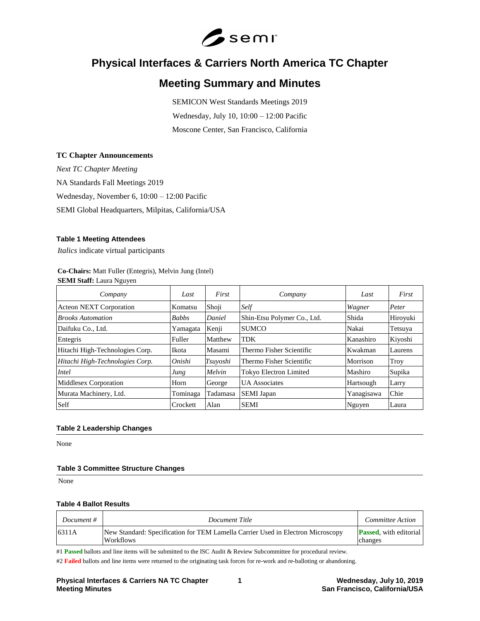

# **Physical Interfaces & Carriers North America TC Chapter**

## **Meeting Summary and Minutes**

SEMICON West Standards Meetings 2019 Wednesday, July 10, 10:00 – 12:00 Pacific Moscone Center, San Francisco, California

#### **TC Chapter Announcements**

*Next TC Chapter Meeting* NA Standards Fall Meetings 2019 Wednesday, November 6, 10:00 – 12:00 Pacific SEMI Global Headquarters, Milpitas, California/USA

#### **Table 1 Meeting Attendees**

*Italics* indicate virtual participants

#### **Co-Chairs:** Matt Fuller (Entegris), Melvin Jung (Intel) **SEMI Staff:** Laura Nguyen

| Company                         | Last         | First    | Company                       | Last       | First    |
|---------------------------------|--------------|----------|-------------------------------|------------|----------|
| <b>Acteon NEXT Corporation</b>  | Komatsu      | Shoji    | Self                          | Wagner     | Peter    |
| <b>Brooks Automation</b>        | <b>Babbs</b> | Daniel   | Shin-Etsu Polymer Co., Ltd.   | Shida      | Hiroyuki |
| Daifuku Co., Ltd.               | Yamagata     | Kenji    | <b>SUMCO</b>                  | Nakai      | Tetsuya  |
| Entegris                        | Fuller       | Matthew  | <b>TDK</b>                    | Kanashiro  | Kiyoshi  |
| Hitachi High-Technologies Corp. | Ikota        | Masami   | Thermo Fisher Scientific      | Kwakman    | Laurens  |
| Hitachi High-Technologies Corp. | Onishi       | Tsuvoshi | Thermo Fisher Scientific      | Morrison   | Troy     |
| Intel                           | Jung         | Melvin   | <b>Tokyo Electron Limited</b> | Mashiro    | Supika   |
| Middlesex Corporation           | Horn         | George   | <b>UA</b> Associates          | Hartsough  | Larry    |
| Murata Machinery, Ltd.          | Tominaga     | Tadamasa | <b>SEMI</b> Japan             | Yanagisawa | Chie     |
| Self                            | Crockett     | Alan     | <b>SEMI</b>                   | Nguyen     | Laura    |

## **Table 2 Leadership Changes**

None

## **Table 3 Committee Structure Changes**

None

#### **Table 4 Ballot Results**

| Document # | Document Title                                                                                      | Committee Action                          |
|------------|-----------------------------------------------------------------------------------------------------|-------------------------------------------|
| 6311A      | New Standard: Specification for TEM Lamella Carrier Used in Electron Microscopy<br><b>Workflows</b> | <b>Passed</b> , with editorial<br>changes |

#1 **Passed** ballots and line items will be submitted to the ISC Audit & Review Subcommittee for procedural review.

#2 Failed ballots and line items were returned to the originating task forces for re-work and re-balloting or abandoning.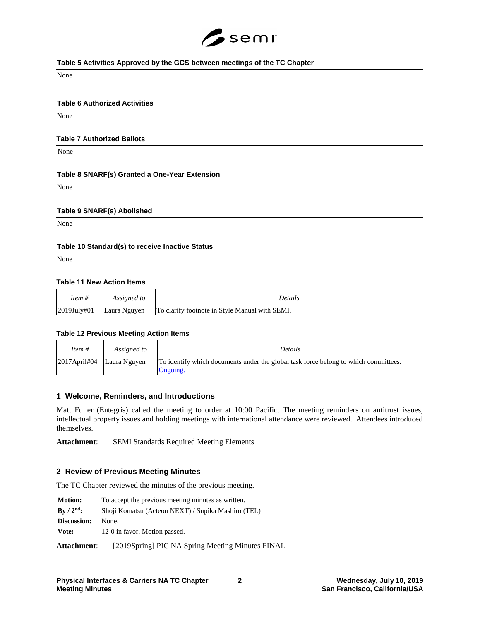

#### **Table 5 Activities Approved by the GCS between meetings of the TC Chapter**

None

#### **Table 6 Authorized Activities**

None

#### **Table 7 Authorized Ballots**

None

#### **Table 8 SNARF(s) Granted a One-Year Extension**

None

#### **Table 9 SNARF(s) Abolished**

None

#### **Table 10 Standard(s) to receive Inactive Status**

None

#### **Table 11 New Action Items**

| Item #          | Assigned to  | Details                                        |  |
|-----------------|--------------|------------------------------------------------|--|
| $ 2019$ July#01 | Laura Nguyen | To clarify footnote in Style Manual with SEMI. |  |

#### **Table 12 Previous Meeting Action Items**

| Item #                       | Assigned to | <b>Details</b>                                                                                  |
|------------------------------|-------------|-------------------------------------------------------------------------------------------------|
| $2017$ April#04 Laura Nguyen |             | To identify which documents under the global task force belong to which committees.<br>Ongoing. |

#### **1 Welcome, Reminders, and Introductions**

Matt Fuller (Entegris) called the meeting to order at 10:00 Pacific. The meeting reminders on antitrust issues, intellectual property issues and holding meetings with international attendance were reviewed. Attendees introduced themselves.

**Attachment**: SEMI Standards Required Meeting Elements

#### **2 Review of Previous Meeting Minutes**

The TC Chapter reviewed the minutes of the previous meeting.

| <b>Motion:</b> | To accept the previous meeting minutes as written. |
|----------------|----------------------------------------------------|
| $By / 2nd$ :   | Shoji Komatsu (Acteon NEXT) / Supika Mashiro (TEL) |
| Discussion:    | None.                                              |
| Vote:          | 12-0 in favor. Motion passed.                      |
| Attachment:    | [2019Spring] PIC NA Spring Meeting Minutes FINAL   |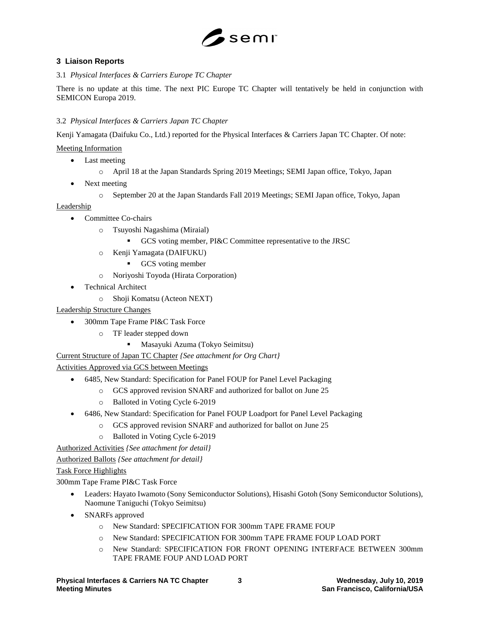

## **3 Liaison Reports**

3.1 *Physical Interfaces & Carriers Europe TC Chapter*

There is no update at this time. The next PIC Europe TC Chapter will tentatively be held in conjunction with SEMICON Europa 2019.

## 3.2 *Physical Interfaces & Carriers Japan TC Chapter*

Kenji Yamagata (Daifuku Co., Ltd.) reported for the Physical Interfaces & Carriers Japan TC Chapter. Of note:

Meeting Information

- Last meeting
	- o April 18 at the Japan Standards Spring 2019 Meetings; SEMI Japan office, Tokyo, Japan
- Next meeting
	- o September 20 at the Japan Standards Fall 2019 Meetings; SEMI Japan office, Tokyo, Japan

Leadership

- Committee Co-chairs
	- o Tsuyoshi Nagashima (Miraial)
		- **EXECUTE:** GCS voting member, PI&C Committee representative to the JRSC
	- o Kenji Yamagata (DAIFUKU)
		- GCS voting member
	- o Noriyoshi Toyoda (Hirata Corporation)
- Technical Architect
	- o Shoji Komatsu (Acteon NEXT)

Leadership Structure Changes

- 300mm Tape Frame PI&C Task Force
	- o TF leader stepped down
		- Masayuki Azuma (Tokyo Seimitsu)

Current Structure of Japan TC Chapter *{See attachment for Org Chart}*

Activities Approved via GCS between Meetings

- 6485, New Standard: Specification for Panel FOUP for Panel Level Packaging
	- o GCS approved revision SNARF and authorized for ballot on June 25
	- o Balloted in Voting Cycle 6-2019
- 6486, New Standard: Specification for Panel FOUP Loadport for Panel Level Packaging
	- o GCS approved revision SNARF and authorized for ballot on June 25
	- o Balloted in Voting Cycle 6-2019

Authorized Activities *{See attachment for detail}*

Authorized Ballots *{See attachment for detail}*

## Task Force Highlights

300mm Tape Frame PI&C Task Force

- Leaders: Hayato Iwamoto (Sony Semiconductor Solutions), Hisashi Gotoh (Sony Semiconductor Solutions), Naomune Taniguchi (Tokyo Seimitsu)
- SNARFs approved
	- o New Standard: SPECIFICATION FOR 300mm TAPE FRAME FOUP
	- o New Standard: SPECIFICATION FOR 300mm TAPE FRAME FOUP LOAD PORT
	- o New Standard: SPECIFICATION FOR FRONT OPENING INTERFACE BETWEEN 300mm TAPE FRAME FOUP AND LOAD PORT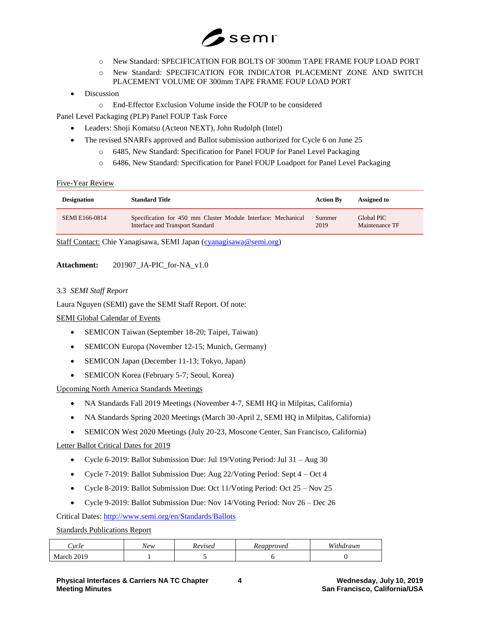

- o New Standard: SPECIFICATION FOR BOLTS OF 300mm TAPE FRAME FOUP LOAD PORT
- o New Standard: SPECIFICATION FOR INDICATOR PLACEMENT ZONE AND SWITCH PLACEMENT VOLUME OF 300mm TAPE FRAME FOUP LOAD PORT
- **Discussion** 
	- o End-Effector Exclusion Volume inside the FOUP to be considered

Panel Level Packaging (PLP) Panel FOUP Task Force

- Leaders: Shoji Komatsu (Acteon NEXT), John Rudolph (Intel)
	- The revised SNARFs approved and Ballot submission authorized for Cycle 6 on June 25
		- o 6485, New Standard: Specification for Panel FOUP for Panel Level Packaging
		- o 6486, New Standard: Specification for Panel FOUP Loadport for Panel Level Packaging

#### Five-Year Review

| <b>Designation</b> | <b>Standard Title</b>                                         | <b>Action By</b> | Assigned to    |
|--------------------|---------------------------------------------------------------|------------------|----------------|
| SEMI E166-0814     | Specification for 450 mm Cluster Module Interface: Mechanical | Summer           | Global PIC     |
|                    | Interface and Transport Standard                              | 2019             | Maintenance TF |

Staff Contact: Chie Yanagisawa, SEMI Japan [\(cyanagisawa@semi.org\)](mailto:cyanagisawa@semi.org)

## **Attachment:** 201907\_JA-PIC\_for-NA\_v1.0

## 3.3 *SEMI Staff Report*

Laura Nguyen (SEMI) gave the SEMI Staff Report. Of note:

SEMI Global Calendar of Events

- SEMICON Taiwan (September 18-20; Taipei, Taiwan)
- SEMICON Europa (November 12-15; Munich, Germany)
- SEMICON Japan (December 11-13; Tokyo, Japan)
- SEMICON Korea (February 5-7; Seoul, Korea)

Upcoming North America Standards Meetings

- NA Standards Fall 2019 Meetings (November 4-7, SEMI HQ in Milpitas, California)
- NA Standards Spring 2020 Meetings (March 30-April 2, SEMI HQ in Milpitas, California)
- SEMICON West 2020 Meetings (July 20-23, Moscone Center, San Francisco, California)

## Letter Ballot Critical Dates for 2019

- Cycle 6-2019: Ballot Submission Due: Jul 19/Voting Period: Jul 31 Aug 30
- Cycle 7-2019: Ballot Submission Due: Aug 22/Voting Period: Sept 4 Oct 4
- Cycle 8-2019: Ballot Submission Due: Oct 11/Voting Period: Oct 25 Nov 25
- Cycle 9-2019: Ballot Submission Due: Nov 14/Voting Period: Nov 26 Dec 26

## Critical Dates:<http://www.semi.org/en/Standards/Ballots>

## Standards Publications Report

| `vel.         | New | evisea | Reapproved | W;<br>uthdrawn |
|---------------|-----|--------|------------|----------------|
| 2010<br>March |     |        |            |                |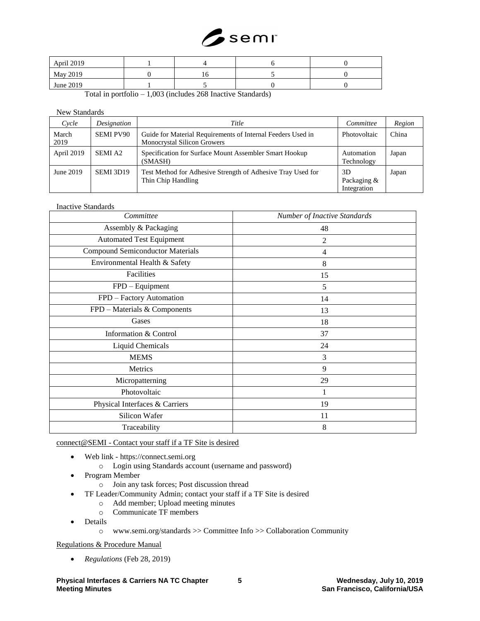

| April 2019 |  |  |
|------------|--|--|
| May 2019   |  |  |
| June 2019  |  |  |

Total in portfolio – 1,003 (includes 268 Inactive Standards)

## New Standards

| Cycle         | Designation      | Title                                                                                             | Committee                        | Region |
|---------------|------------------|---------------------------------------------------------------------------------------------------|----------------------------------|--------|
| March<br>2019 | <b>SEMI PV90</b> | Guide for Material Requirements of Internal Feeders Used in<br><b>Monocrystal Silicon Growers</b> | Photovoltaic                     | China  |
| April 2019    | <b>SEMIA2</b>    | Specification for Surface Mount Assembler Smart Hookup<br>(SMASH)                                 | Automation<br>Technology         | Japan  |
| June 2019     | SEMI 3D19        | Test Method for Adhesive Strength of Adhesive Tray Used for<br>Thin Chip Handling                 | 3D<br>Packaging &<br>Integration | Japan  |

#### Inactive Standards

| Committee                               | Number of Inactive Standards |
|-----------------------------------------|------------------------------|
| Assembly & Packaging                    | 48                           |
| <b>Automated Test Equipment</b>         | $\overline{c}$               |
| <b>Compound Semiconductor Materials</b> | $\overline{4}$               |
| Environmental Health & Safety           | $\,8\,$                      |
| Facilities                              | 15                           |
| FPD - Equipment                         | 5                            |
| FPD - Factory Automation                | 14                           |
| FPD - Materials & Components            | 13                           |
| Gases                                   | 18                           |
| Information & Control                   | 37                           |
| Liquid Chemicals                        | 24                           |
| <b>MEMS</b>                             | 3                            |
| Metrics                                 | 9                            |
| Micropatterning                         | 29                           |
| Photovoltaic                            | 1                            |
| Physical Interfaces & Carriers          | 19                           |
| Silicon Wafer                           | 11                           |
| Traceability                            | 8                            |

connect@SEMI - Contact your staff if a TF Site is desired

- Web link https://connect.semi.org
	- o Login using Standards account (username and password)
- Program Member
	- o Join any task forces; Post discussion thread
- TF Leader/Community Admin; contact your staff if a TF Site is desired
	- o Add member; Upload meeting minutes
	- o Communicate TF members
- Details
	- o www.semi.org/standards >> Committee Info >> Collaboration Community

Regulations & Procedure Manual

• *Regulations* (Feb 28, 2019)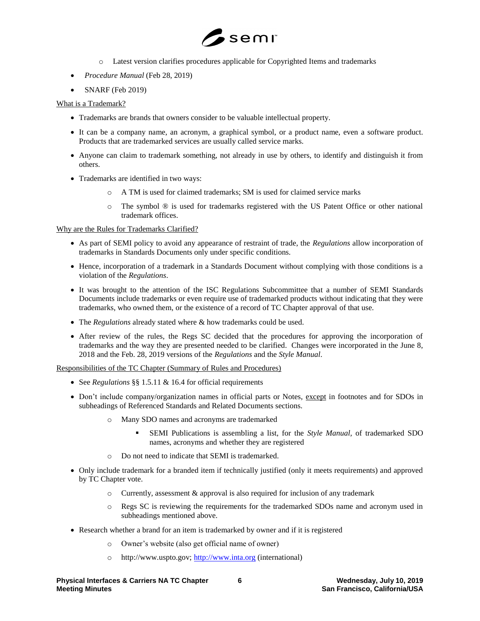

- o Latest version clarifies procedures applicable for Copyrighted Items and trademarks
- *Procedure Manual* (Feb 28, 2019)
- SNARF (Feb 2019)

## What is a Trademark?

- Trademarks are brands that owners consider to be valuable intellectual property.
- It can be a company name, an acronym, a graphical symbol, or a product name, even a software product. Products that are trademarked services are usually called service marks.
- Anyone can claim to trademark something, not already in use by others, to identify and distinguish it from others.
- Trademarks are identified in two ways:
	- o A TM is used for claimed trademarks; SM is used for claimed service marks
	- o The symbol ® is used for trademarks registered with the US Patent Office or other national trademark offices.

## Why are the Rules for Trademarks Clarified?

- As part of SEMI policy to avoid any appearance of restraint of trade, the *Regulations* allow incorporation of trademarks in Standards Documents only under specific conditions.
- Hence, incorporation of a trademark in a Standards Document without complying with those conditions is a violation of the *Regulations*.
- It was brought to the attention of the ISC Regulations Subcommittee that a number of SEMI Standards Documents include trademarks or even require use of trademarked products without indicating that they were trademarks, who owned them, or the existence of a record of TC Chapter approval of that use.
- The *Regulations* already stated where & how trademarks could be used.
- After review of the rules, the Regs SC decided that the procedures for approving the incorporation of trademarks and the way they are presented needed to be clarified. Changes were incorporated in the June 8, 2018 and the Feb. 28, 2019 versions of the *Regulations* and the *Style Manual*.

Responsibilities of the TC Chapter (Summary of Rules and Procedures)

- See *Regulations* §§ 1.5.11 & 16.4 for official requirements
- Don't include company/organization names in official parts or Notes, except in footnotes and for SDOs in subheadings of Referenced Standards and Related Documents sections.
	- Many SDO names and acronyms are trademarked
		- SEMI Publications is assembling a list, for the *Style Manual,* of trademarked SDO names, acronyms and whether they are registered
	- o Do not need to indicate that SEMI is trademarked.
- Only include trademark for a branded item if technically justified (only it meets requirements) and approved by TC Chapter vote.
	- $\circ$  Currently, assessment & approval is also required for inclusion of any trademark
	- o Regs SC is reviewing the requirements for the trademarked SDOs name and acronym used in subheadings mentioned above.
- Research whether a brand for an item is trademarked by owner and if it is registered
	- o Owner's website (also get official name of owner)
	- o http://www.uspto.gov; [http://www.inta.org](http://www.inta.org/) (international)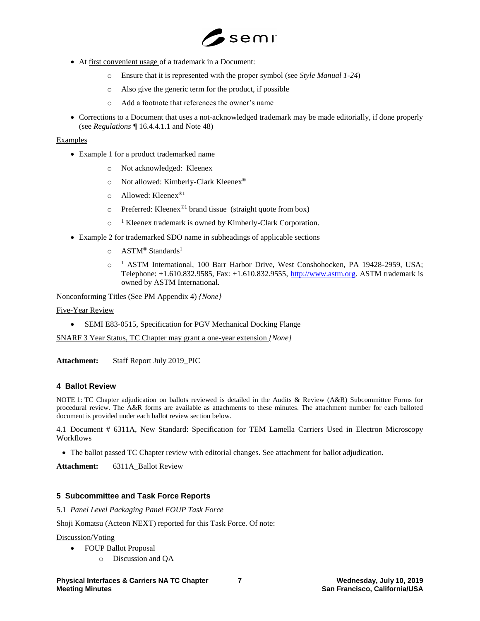

- At first convenient usage of a trademark in a Document:
	- o Ensure that it is represented with the proper symbol (see *Style Manual 1-24*)
	- o Also give the generic term for the product, if possible
	- o Add a footnote that references the owner's name
- Corrections to a Document that uses a not-acknowledged trademark may be made editorially, if done properly (see *Regulations ¶* 16.4.4.1.1 and Note 48)

#### Examples

- Example 1 for a product trademarked name
	- o Not acknowledged: Kleenex
	- o Not allowed: Kimberly-Clark Kleenex®
	- o Allowed: Kleenex®1
	- $\circ$  Preferred: Kleenex<sup>®1</sup> brand tissue (straight quote from box)
	- o <sup>1</sup> Kleenex trademark is owned by Kimberly-Clark Corporation.
- Example 2 for trademarked SDO name in subheadings of applicable sections
	- $\circ$  ASTM<sup>®</sup> Standards<sup>1</sup>
	- o <sup>1</sup> ASTM International, 100 Barr Harbor Drive, West Conshohocken, PA 19428-2959, USA; Telephone: +1.610.832.9585, Fax: +1.610.832.9555, [http://www.astm.org.](http://www.astm.org/) ASTM trademark is owned by ASTM International.

Nonconforming Titles (See PM Appendix 4) *{None}*

Five-Year Review

• SEMI E83-0515, Specification for PGV Mechanical Docking Flange

SNARF 3 Year Status, TC Chapter may grant a one-year extension *{None}*

Attachment: Staff Report July 2019 PIC

## **4 Ballot Review**

NOTE 1: TC Chapter adjudication on ballots reviewed is detailed in the Audits & Review (A&R) Subcommittee Forms for procedural review. The A&R forms are available as attachments to these minutes. The attachment number for each balloted document is provided under each ballot review section below.

4.1 Document # 6311A, New Standard: Specification for TEM Lamella Carriers Used in Electron Microscopy Workflows

• The ballot passed TC Chapter review with editorial changes. See attachment for ballot adjudication.

**Attachment:** 6311A\_Ballot Review

## **5 Subcommittee and Task Force Reports**

5.1 *Panel Level Packaging Panel FOUP Task Force*

Shoji Komatsu (Acteon NEXT) reported for this Task Force. Of note:

#### Discussion/Voting

- FOUP Ballot Proposal
	- o Discussion and QA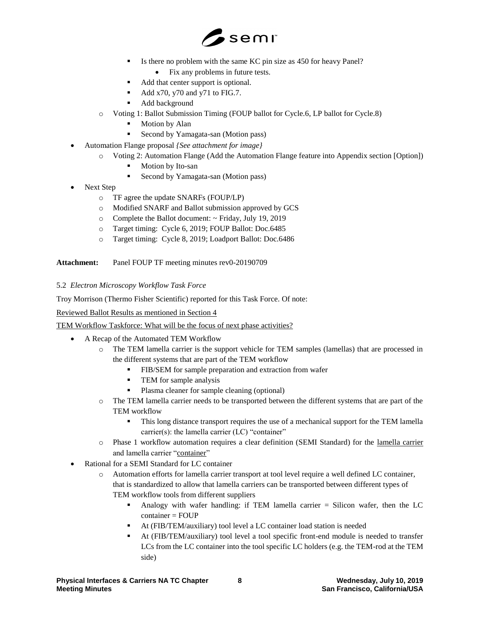

- Is there no problem with the same KC pin size as 450 for heavy Panel?
	- Fix any problems in future tests.
- Add that center support is optional.
- $\blacktriangleleft$  Add x70, y70 and y71 to FIG.7.
- Add background
- o Voting 1: Ballot Submission Timing (FOUP ballot for Cycle.6, LP ballot for Cycle.8)
	- Motion by Alan
	- Second by Yamagata-san (Motion pass)
- Automation Flange proposal *{See attachment for image}*
	- o Voting 2: Automation Flange (Add the Automation Flange feature into Appendix section [Option])
		- Motion by Ito-san
		- Second by Yamagata-san (Motion pass)
- Next Step
	- o TF agree the update SNARFs (FOUP/LP)
	- o Modified SNARF and Ballot submission approved by GCS
	- o Complete the Ballot document: ~ Friday, July 19, 2019
	- o Target timing: Cycle 6, 2019; FOUP Ballot: Doc.6485
	- o Target timing: Cycle 8, 2019; Loadport Ballot: Doc.6486

Attachment: Panel FOUP TF meeting minutes rev0-20190709

## 5.2 *Electron Microscopy Workflow Task Force*

Troy Morrison (Thermo Fisher Scientific) reported for this Task Force. Of note:

Reviewed Ballot Results as mentioned in Section 4

TEM Workflow Taskforce: What will be the focus of next phase activities?

- A Recap of the Automated TEM Workflow
	- o The TEM lamella carrier is the support vehicle for TEM samples (lamellas) that are processed in the different systems that are part of the TEM workflow
		- FIB/SEM for sample preparation and extraction from wafer
		- **•** TEM for sample analysis
		- Plasma cleaner for sample cleaning (optional)
	- o The TEM lamella carrier needs to be transported between the different systems that are part of the TEM workflow
		- This long distance transport requires the use of a mechanical support for the TEM lamella carrier(s): the lamella carrier (LC) "container"
	- o Phase 1 workflow automation requires a clear definition (SEMI Standard) for the lamella carrier and lamella carrier "container"
- Rational for a SEMI Standard for LC container
	- o Automation efforts for lamella carrier transport at tool level require a well defined LC container, that is standardized to allow that lamella carriers can be transported between different types of TEM workflow tools from different suppliers
		- Analogy with wafer handling: if TEM lamella carrier  $=$  Silicon wafer, then the LC  $container = FOUP$
		- At (FIB/TEM/auxiliary) tool level a LC container load station is needed
		- At (FIB/TEM/auxiliary) tool level a tool specific front-end module is needed to transfer LCs from the LC container into the tool specific LC holders (e.g. the TEM-rod at the TEM side)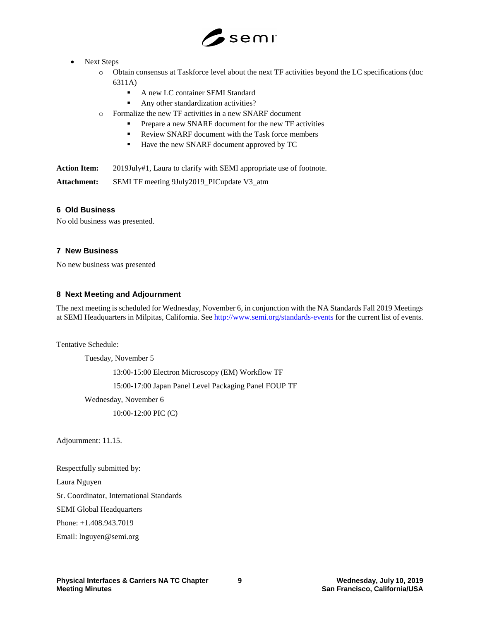

## Next Steps

- o Obtain consensus at Taskforce level about the next TF activities beyond the LC specifications (doc 6311A)
	- A new LC container SEMI Standard
	- Any other standardization activities?
- o Formalize the new TF activities in a new SNARF document
	- Prepare a new SNARF document for the new TF activities
	- Review SNARF document with the Task force members
	- Have the new SNARF document approved by TC

Action Item: 2019July#1, Laura to clarify with SEMI appropriate use of footnote.

**Attachment:** SEMI TF meeting 9July2019\_PICupdate V3\_atm

## **6 Old Business**

No old business was presented.

## **7 New Business**

No new business was presented

## **8 Next Meeting and Adjournment**

The next meeting is scheduled for Wednesday, November 6, in conjunction with the NA Standards Fall 2019 Meetings at SEMI Headquarters in Milpitas, California. See<http://www.semi.org/standards-events> for the current list of events.

Tentative Schedule:

Tuesday, November 5 13:00-15:00 Electron Microscopy (EM) Workflow TF 15:00-17:00 Japan Panel Level Packaging Panel FOUP TF Wednesday, November 6 10:00-12:00 PIC (C)

Adjournment: 11.15.

Respectfully submitted by:

Laura Nguyen

Sr. Coordinator, International Standards

SEMI Global Headquarters

Phone: +1.408.943.7019

Email: lnguyen@semi.org